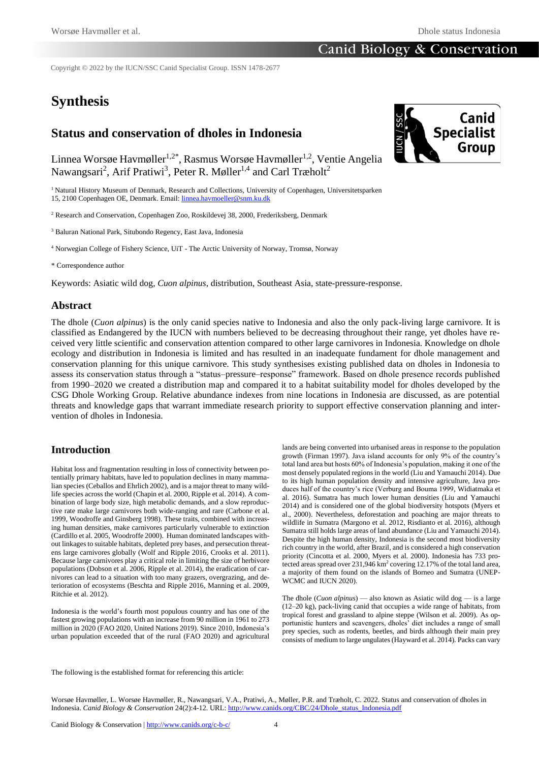Copyright © 2022 by the IUCN/SSC Canid Specialist Group. ISSN 1478-2677

# **Synthesis**

## **Status and conservation of dholes in Indonesia**

Linnea Worsøe Havmøller<sup>1,2\*</sup>, Rasmus Worsøe Havmøller<sup>1,2</sup>, Ventie Angelia Nawangsari<sup>2</sup>, Arif Pratiwi<sup>3</sup>, Peter R. Møller<sup>1,4</sup> and Carl Træholt<sup>2</sup>

<sup>1</sup> Natural History Museum of Denmark, Research and Collections, University of Copenhagen, Universitetsparken 15, 2100 Copenhagen OE, Denmark. Email[: linnea.havmoeller@snm.ku.dk](mailto:linnea.havmoeller@snm.ku.dk)

<sup>2</sup> Research and Conservation, Copenhagen Zoo, Roskildevej 38, 2000, Frederiksberg, Denmark

<sup>3</sup> Baluran National Park, Situbondo Regency, East Java, Indonesia

<sup>4</sup> Norwegian College of Fishery Science, UiT - The Arctic University of Norway, Tromsø, Norway

\* Correspondence author

Keywords: Asiatic wild dog, *Cuon alpinus*, distribution, Southeast Asia, state-pressure-response.

### **Abstract**

The dhole (*Cuon alpinus*) is the only canid species native to Indonesia and also the only pack-living large carnivore. It is classified as Endangered by the IUCN with numbers believed to be decreasing throughout their range, yet dholes have received very little scientific and conservation attention compared to other large carnivores in Indonesia. Knowledge on dhole ecology and distribution in Indonesia is limited and has resulted in an inadequate fundament for dhole management and conservation planning for this unique carnivore. This study synthesises existing published data on dholes in Indonesia to assess its conservation status through a "status–pressure–response" framework. Based on dhole presence records published from 1990–2020 we created a distribution map and compared it to a habitat suitability model for dholes developed by the CSG Dhole Working Group. Relative abundance indexes from nine locations in Indonesia are discussed, as are potential threats and knowledge gaps that warrant immediate research priority to support effective conservation planning and intervention of dholes in Indonesia.

### **Introduction**

Habitat loss and fragmentation resulting in loss of connectivity between potentially primary habitats, have led to population declines in many mammalian species (Ceballos and Ehrlich 2002), and is a major threat to many wildlife species across the world (Chapin et al. 2000, Ripple et al. 2014). A combination of large body size, high metabolic demands, and a slow reproductive rate make large carnivores both wide-ranging and rare (Carbone et al. 1999, Woodroffe and Ginsberg 1998). These traits, combined with increasing human densities, make carnivores particularly vulnerable to extinction (Cardillo et al. 2005, Woodroffe 2000). Human dominated landscapes without linkages to suitable habitats, depleted prey bases, and persecution threatens large carnivores globally (Wolf and Ripple 2016, Crooks et al. 2011). Because large carnivores play a critical role in limiting the size of herbivore populations (Dobson et al. 2006, Ripple et al. 2014), the eradication of carnivores can lead to a situation with too many grazers, overgrazing, and deterioration of ecosystems (Beschta and Ripple 2016, Manning et al. 2009, Ritchie et al. 2012).

Indonesia is the world's fourth most populous country and has one of the fastest growing populations with an increase from 90 million in 1961 to 273 million in 2020 (FAO 2020, United Nations 2019). Since 2010, Indonesia's urban population exceeded that of the rural (FAO 2020) and agricultural lands are being converted into urbanised areas in response to the population growth (Firman 1997). Java island accounts for only 9% of the country's total land area but hosts 60% of Indonesia's population, making it one of the most densely populated regions in the world (Liu and Yamauchi 2014). Due to its high human population density and intensive agriculture, Java produces half of the country's rice (Verburg and Bouma 1999, Widiatmaka et al. 2016). Sumatra has much lower human densities (Liu and Yamauchi 2014) and is considered one of the global biodiversity hotspots (Myers et al., 2000). Nevertheless, deforestation and poaching are major threats to wildlife in Sumatra (Margono et al. 2012, Risdianto et al. 2016), although Sumatra still holds large areas of land abundance (Liu and Yamauchi 2014). Despite the high human density, Indonesia is the second most biodiversity rich country in the world, after Brazil, and is considered a high conservation priority (Cincotta et al. 2000, Myers et al. 2000). Indonesia has 733 protected areas spread over 231,946 km<sup>2</sup> covering 12.17% of the total land area, a majority of them found on the islands of Borneo and Sumatra (UNEP-WCMC and IUCN 2020).

The dhole (*Cuon alpinus*) — also known as Asiatic wild dog — is a large (12–20 kg), pack-living canid that occupies a wide range of habitats, from tropical forest and grassland to alpine steppe (Wilson et al. 2009). As opportunistic hunters and scavengers, dholes' diet includes a range of small prey species, such as rodents, beetles, and birds although their main prey consists of medium to large ungulates (Hayward et al. 2014). Packs can vary

The following is the established format for referencing this article:

Worsøe Havmøller, L. Worsøe Havmøller, R., Nawangsari, V.A., Pratiwi, A., Møller, P.R. and Træholt, C. 2022. Status and conservation of dholes in Indonesia. *Canid Biology & Conservation* 24(2):4-12. URL: [http://www.canids.org/CBC/24/Dhole\\_status\\_Indonesia.pdf](http://www.canids.org/CBC/24/Dhole_status_Indonesia.pdf)

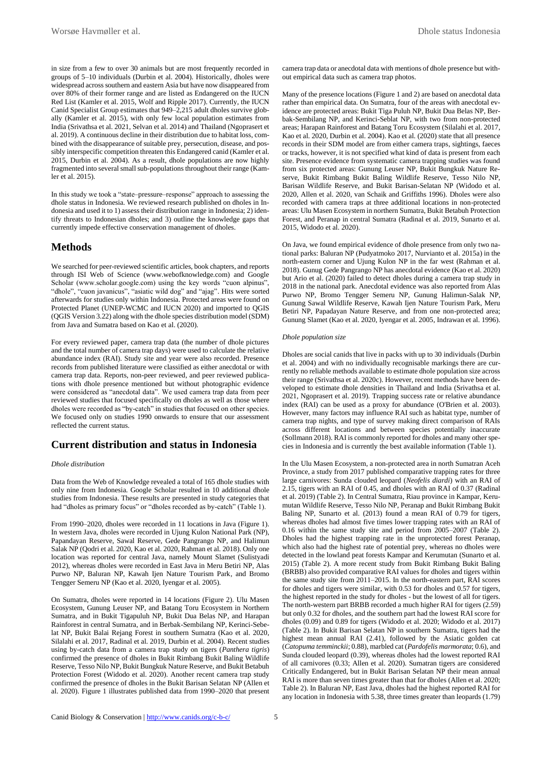in size from a few to over 30 animals but are most frequently recorded in groups of 5–10 individuals (Durbin et al. 2004). Historically, dholes were widespread across southern and eastern Asia but have now disappeared from over 80% of their former range and are listed as Endangered on the IUCN Red List (Kamler et al. 2015, Wolf and Ripple 2017). Currently, the IUCN Canid Specialist Group estimates that 949–2,215 adult dholes survive globally (Kamler et al. 2015), with only few local population estimates from India (Srivathsa et al. 2021, Selvan et al. 2014) and Thailand (Ngoprasert et al. 2019). A continuous decline in their distribution due to habitat loss, combined with the disappearance of suitable prey, persecution, disease, and possibly interspecific competition threaten this Endangered canid (Kamler et al. 2015, Durbin et al. 2004). As a result, dhole populations are now highly fragmented into several small sub-populations throughout their range (Kamler et al. 2015).

In this study we took a "state–pressure–response" approach to assessing the dhole status in Indonesia. We reviewed research published on dholes in Indonesia and used it to 1) assess their distribution range in Indonesia; 2) identify threats to Indonesian dholes; and 3) outline the knowledge gaps that currently impede effective conservation management of dholes.

### **Methods**

We searched for peer-reviewed scientific articles, book chapters, and reports through ISI Web of Science (www.webofknowledge.com) and Google Scholar (www.scholar.google.com) using the key words "cuon alpinus", "dhole", "cuon javanicus", "asiatic wild dog" and "ajag". Hits were sorted afterwards for studies only within Indonesia. Protected areas were found on Protected Planet (UNEP-WCMC and IUCN 2020) and imported to QGIS (QGIS Version 3.22) along with the dhole species distribution model (SDM) from Java and Sumatra based on Kao et al. (2020).

For every reviewed paper, camera trap data (the number of dhole pictures and the total number of camera trap days) were used to calculate the relative abundance index (RAI). Study site and year were also recorded. Presence records from published literature were classified as either anecdotal or with camera trap data. Reports, non-peer reviewed, and peer reviewed publications with dhole presence mentioned but without photographic evidence were considered as "anecdotal data". We used camera trap data from peer reviewed studies that focused specifically on dholes as well as those where dholes were recorded as "by-catch" in studies that focused on other species. We focused only on studies 1990 onwards to ensure that our assessment reflected the current status.

### **Current distribution and status in Indonesia**

#### *Dhole distribution*

Data from the Web of Knowledge revealed a total of 165 dhole studies with only nine from Indonesia. Google Scholar resulted in 10 additional dhole studies from Indonesia. These results are presented in study categories that had "dholes as primary focus" or "dholes recorded as by-catch" (Table 1).

From 1990–2020, dholes were recorded in 11 locations in Java (Figure 1). In western Java, dholes were recorded in Ujung Kulon National Park (NP), Papandayan Reserve, Sawal Reserve, Gede Pangrango NP, and Halimun Salak NP (Qodri et al. 2020, Kao et al. 2020, Rahman et al. 2018). Only one location was reported for central Java, namely Mount Slamet (Sulistyadi 2012), whereas dholes were recorded in East Java in Meru Betiri NP, Alas Purwo NP, Baluran NP, Kawah Ijen Nature Tourism Park, and Bromo Tengger Semeru NP (Kao et al. 2020, Iyengar et al. 2005).

On Sumatra, dholes were reported in 14 locations (Figure 2). Ulu Masen Ecosystem, Gunung Leuser NP, and Batang Toru Ecosystem in Northern Sumatra, and in Bukit Tigapuluh NP, Bukit Dua Belas NP, and Harapan Rainforest in central Sumatra, and in Berbak-Sembilang NP, Kerinci-Sebelat NP, Bukit Balai Rejang Forest in southern Sumatra (Kao et al. 2020, Silalahi et al. 2017, Radinal et al. 2019, Durbin et al. 2004). Recent studies using by-catch data from a camera trap study on tigers (*Panthera tigris*) confirmed the presence of dholes in Bukit Rimbang Bukit Baling Wildlife Reserve, Tesso Nilo NP, Bukit Bungkuk Nature Reserve, and Bukit Betabuh Protection Forest (Widodo et al. 2020). Another recent camera trap study confirmed the presence of dholes in the Bukit Barisan Selatan NP (Allen et al. 2020). Figure 1 illustrates published data from 1990–2020 that present

camera trap data or anecdotal data with mentions of dhole presence but without empirical data such as camera trap photos.

Many of the presence locations (Figure 1 and 2) are based on anecdotal data rather than empirical data. On Sumatra, four of the areas with anecdotal evidence are protected areas: Bukit Tiga Puluh NP, Bukit Dua Belas NP, Berbak-Sembilang NP, and Kerinci-Seblat NP, with two from non-protected areas; Harapan Rainforest and Batang Toru Ecosystem (Silalahi et al. 2017, Kao et al. 2020, Durbin et al. 2004). Kao et al. (2020) state that all presence records in their SDM model are from either camera traps, sightings, faeces or tracks, however, it is not specified what kind of data is present from each site. Presence evidence from systematic camera trapping studies was found from six protected areas: Gunung Leuser NP, Bukit Bungkuk Nature Reserve, Bukit Rimbang Bukit Baling Wildlife Reserve, Tesso Nilo NP, Barisan Wildlife Reserve, and Bukit Barisan-Selatan NP (Widodo et al. 2020, Allen et al. 2020, van Schaik and Griffiths 1996). Dholes were also recorded with camera traps at three additional locations in non-protected areas: Ulu Masen Ecosystem in northern Sumatra, Bukit Betabuh Protection Forest, and Peranap in central Sumatra (Radinal et al. 2019, Sunarto et al. 2015, Widodo et al. 2020).

On Java, we found empirical evidence of dhole presence from only two national parks: Baluran NP (Pudyatmoko 2017, Nurvianto et al. 2015a) in the north-eastern corner and Ujung Kulon NP in the far west (Rahman et al. 2018). Gunug Gede Pangrango NP has anecdotal evidence (Kao et al. 2020) but Ario et al. (2020) failed to detect dholes during a camera trap study in 2018 in the national park. Anecdotal evidence was also reported from Alas Purwo NP, Bromo Tengger Semeru NP, Gunung Halimun-Salak NP, Gunung Sawal Wildlife Reserve, Kawah Ijen Nature Tourism Park, Meru Betiri NP, Papadayan Nature Reserve, and from one non-protected area; Gunung Slamet (Kao et al. 2020, Iyengar et al. 2005, Indrawan et al. 1996).

#### *Dhole population size*

Dholes are social canids that live in packs with up to 30 individuals (Durbin et al. 2004) and with no individually recognisable markings there are currently no reliable methods available to estimate dhole population size across their range (Srivathsa et al. 2020c). However, recent methods have been developed to estimate dhole densities in Thailand and India (Srivathsa et al. 2021, Ngoprasert et al. 2019). Trapping success rate or relative abundance index (RAI) can be used as a proxy for abundance (O'Brien et al. 2003). However, many factors may influence RAI such as habitat type, number of camera trap nights, and type of survey making direct comparison of RAIs across different locations and between species potentially inaccurate (Sollmann 2018). RAI is commonly reported for dholes and many other species in Indonesia and is currently the best available information (Table 1).

In the Ulu Masen Ecosystem, a non-protected area in north Sumatran Aceh Province, a study from 2017 published comparative trapping rates for three large carnivores: Sunda clouded leopard (*Neofelis diardi*) with an RAI of 2.15, tigers with an RAI of 0.45, and dholes with an RAI of 0.37 (Radinal et al. 2019) (Table 2). In Central Sumatra, Riau province in Kampar, Kerumutan Wildlife Reserve, Tesso Nilo NP, Peranap and Bukit Rimbang Bukit Baling NP, Sunarto et al. (2013) found a mean RAI of 0.79 for tigers, whereas dholes had almost five times lower trapping rates with an RAI of 0.16 within the same study site and period from 2005–2007 (Table 2). Dholes had the highest trapping rate in the unprotected forest Peranap, which also had the highest rate of potential prey, whereas no dholes were detected in the lowland peat forests Kampar and Kerumutan (Sunarto et al. 2015) (Table 2). A more recent study from Bukit Rimbang Bukit Baling (BRBB) also provided comparative RAI values for dholes and tigers within the same study site from 2011–2015. In the north-eastern part, RAI scores for dholes and tigers were similar, with 0.53 for dholes and 0.57 for tigers, the highest reported in the study for dholes - but the lowest of all for tigers. The north-western part BRBB recorded a much higher RAI for tigers (2.59) but only 0.32 for dholes, and the southern part had the lowest RAI score for dholes (0.09) and 0.89 for tigers (Widodo et al. 2020; Widodo et al. 2017) (Table 2). In Bukit Barisan Selatan NP in southern Sumatra, tigers had the highest mean annual RAI (2.41), followed by the Asiatic golden cat (*Catopuma temminckii*; 0.88), marbled cat (*Pardofelis marmorata*; 0.6), and Sunda clouded leopard (0.39), whereas dholes had the lowest reported RAI of all carnivores (0.33; Allen et al. 2020). Sumatran tigers are considered Critically Endangered, but in Bukit Barisan Selatan NP their mean annual RAI is more than seven times greater than that for dholes (Allen et al. 2020; Table 2). In Baluran NP, East Java, dholes had the highest reported RAI for any location in Indonesia with 5.38, three times greater than leopards (1.79)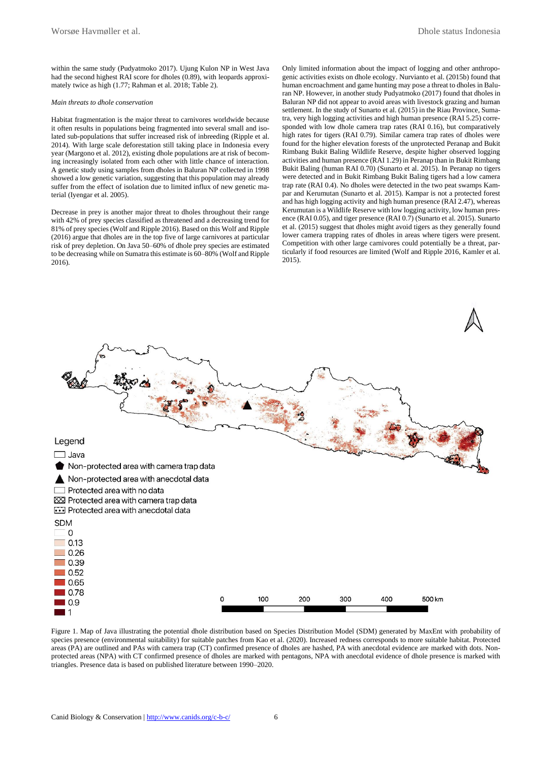within the same study (Pudyatmoko 2017). Ujung Kulon NP in West Java had the second highest RAI score for dholes (0.89), with leopards approximately twice as high (1.77; Rahman et al. 2018; Table 2).

#### *Main threats to dhole conservation*

Habitat fragmentation is the major threat to carnivores worldwide because it often results in populations being fragmented into several small and isolated sub-populations that suffer increased risk of inbreeding (Ripple et al. 2014). With large scale deforestation still taking place in Indonesia every year (Margono et al. 2012), existing dhole populations are at risk of becoming increasingly isolated from each other with little chance of interaction. A genetic study using samples from dholes in Baluran NP collected in 1998 showed a low genetic variation, suggesting that this population may already suffer from the effect of isolation due to limited influx of new genetic material (Iyengar et al. 2005).

Decrease in prey is another major threat to dholes throughout their range with 42% of prey species classified as threatened and a decreasing trend for 81% of prey species (Wolf and Ripple 2016). Based on this Wolf and Ripple (2016) argue that dholes are in the top five of large carnivores at particular risk of prey depletion. On Java 50–60% of dhole prey species are estimated to be decreasing while on Sumatra this estimate is 60–80% (Wolf and Ripple 2016).

Only limited information about the impact of logging and other anthropogenic activities exists on dhole ecology. Nurvianto et al. (2015b) found that human encroachment and game hunting may pose a threat to dholes in Baluran NP. However, in another study Pudyatmoko (2017) found that dholes in Baluran NP did not appear to avoid areas with livestock grazing and human settlement. In the study of Sunarto et al. (2015) in the Riau Province, Sumatra, very high logging activities and high human presence (RAI 5.25) corresponded with low dhole camera trap rates (RAI 0.16), but comparatively high rates for tigers (RAI 0.79). Similar camera trap rates of dholes were found for the higher elevation forests of the unprotected Peranap and Bukit Rimbang Bukit Baling Wildlife Reserve, despite higher observed logging activities and human presence (RAI 1.29) in Peranap than in Bukit Rimbang Bukit Baling (human RAI 0.70) (Sunarto et al. 2015). In Peranap no tigers were detected and in Bukit Rimbang Bukit Baling tigers had a low camera trap rate (RAI 0.4). No dholes were detected in the two peat swamps Kampar and Kerumutan (Sunarto et al. 2015). Kampar is not a protected forest and has high logging activity and high human presence (RAI 2.47), whereas Kerumutan is a Wildlife Reserve with low logging activity, low human presence (RAI 0.05), and tiger presence (RAI 0.7) (Sunarto et al. 2015). Sunarto et al. (2015) suggest that dholes might avoid tigers as they generally found lower camera trapping rates of dholes in areas where tigers were present. Competition with other large carnivores could potentially be a threat, particularly if food resources are limited (Wolf and Ripple 2016, Kamler et al. 2015).



Figure 1. Map of Java illustrating the potential dhole distribution based on Species Distribution Model (SDM) generated by MaxEnt with probability of species presence (environmental suitability) for suitable patches from Kao et al. (2020). Increased redness corresponds to more suitable habitat. Protected areas (PA) are outlined and PAs with camera trap (CT) confirmed presence of dholes are hashed, PA with anecdotal evidence are marked with dots. Nonprotected areas (NPA) with CT confirmed presence of dholes are marked with pentagons, NPA with anecdotal evidence of dhole presence is marked with triangles. Presence data is based on published literature between 1990–2020.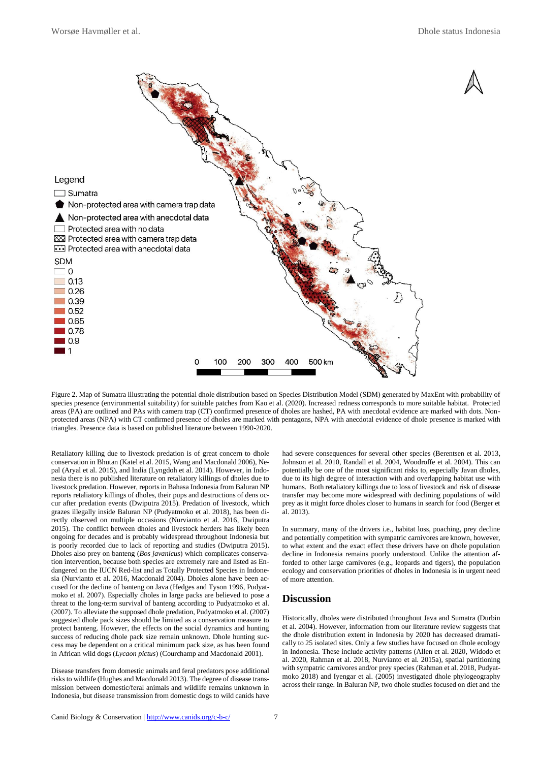

Figure 2. Map of Sumatra illustrating the potential dhole distribution based on Species Distribution Model (SDM) generated by MaxEnt with probability of species presence (environmental suitability) for suitable patches from Kao et al. (2020). Increased redness corresponds to more suitable habitat. Protected areas (PA) are outlined and PAs with camera trap (CT) confirmed presence of dholes are hashed, PA with anecdotal evidence are marked with dots. Nonprotected areas (NPA) with CT confirmed presence of dholes are marked with pentagons, NPA with anecdotal evidence of dhole presence is marked with triangles. Presence data is based on published literature between 1990-2020.

Retaliatory killing due to livestock predation is of great concern to dhole conservation in Bhutan (Katel et al. 2015, Wang and Macdonald 2006), Nepal (Aryal et al. 2015), and India (Lyngdoh et al. 2014). However, in Indonesia there is no published literature on retaliatory killings of dholes due to livestock predation. However, reports in Bahasa Indonesia from Baluran NP reports retaliatory killings of dholes, their pups and destructions of dens occur after predation events (Dwiputra 2015). Predation of livestock, which grazes illegally inside Baluran NP (Pudyatmoko et al. 2018), has been directly observed on multiple occasions (Nurvianto et al. 2016, Dwiputra 2015). The conflict between dholes and livestock herders has likely been ongoing for decades and is probably widespread throughout Indonesia but is poorly recorded due to lack of reporting and studies (Dwiputra 2015). Dholes also prey on banteng (*Bos javanicus*) which complicates conservation intervention, because both species are extremely rare and listed as Endangered on the IUCN Red-list and as Totally Protected Species in Indonesia (Nurvianto et al. 2016, Macdonald 2004). Dholes alone have been accused for the decline of banteng on Java (Hedges and Tyson 1996, Pudyatmoko et al. 2007). Especially dholes in large packs are believed to pose a threat to the long-term survival of banteng according to Pudyatmoko et al. (2007). To alleviate the supposed dhole predation, Pudyatmoko et al. (2007) suggested dhole pack sizes should be limited as a conservation measure to protect banteng. However, the effects on the social dynamics and hunting success of reducing dhole pack size remain unknown. Dhole hunting success may be dependent on a critical minimum pack size, as has been found in African wild dogs (*Lycaon pictus*) (Courchamp and Macdonald 2001).

Disease transfers from domestic animals and feral predators pose additional risks to wildlife (Hughes and Macdonald 2013). The degree of disease transmission between domestic/feral animals and wildlife remains unknown in Indonesia, but disease transmission from domestic dogs to wild canids have had severe consequences for several other species (Berentsen et al. 2013, Johnson et al. 2010, Randall et al. 2004, Woodroffe et al. 2004). This can potentially be one of the most significant risks to, especially Javan dholes, due to its high degree of interaction with and overlapping habitat use with humans. Both retaliatory killings due to loss of livestock and risk of disease transfer may become more widespread with declining populations of wild prey as it might force dholes closer to humans in search for food (Berger et al. 2013).

In summary, many of the drivers i.e., habitat loss, poaching, prey decline and potentially competition with sympatric carnivores are known, however, to what extent and the exact effect these drivers have on dhole population decline in Indonesia remains poorly understood. Unlike the attention afforded to other large carnivores (e.g., leopards and tigers), the population ecology and conservation priorities of dholes in Indonesia is in urgent need of more attention.

### **Discussion**

Historically, dholes were distributed throughout Java and Sumatra (Durbin et al. 2004). However, information from our literature review suggests that the dhole distribution extent in Indonesia by 2020 has decreased dramatically to 25 isolated sites. Only a few studies have focused on dhole ecology in Indonesia. These include activity patterns (Allen et al. 2020, Widodo et al. 2020, Rahman et al. 2018, Nurvianto et al. 2015a), spatial partitioning with sympatric carnivores and/or prey species (Rahman et al. 2018, Pudyatmoko 2018) and Iyengar et al. (2005) investigated dhole phylogeography across their range. In Baluran NP, two dhole studies focused on diet and the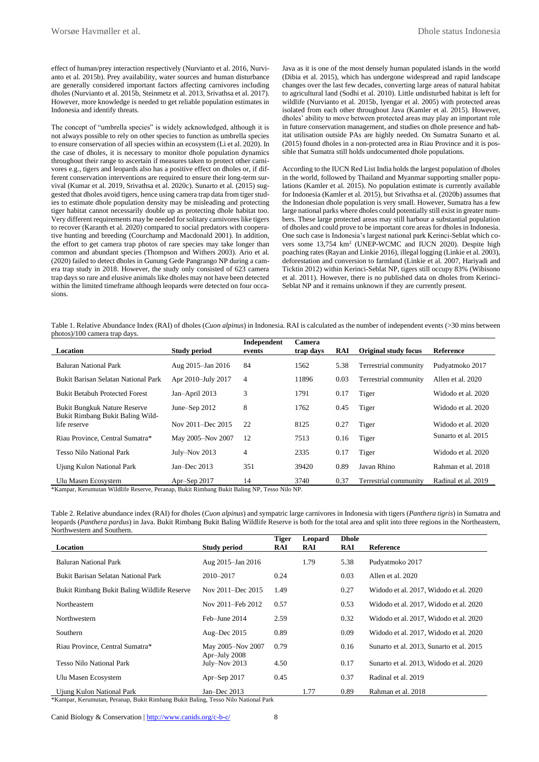effect of human/prey interaction respectively (Nurvianto et al. 2016, Nurvianto et al. 2015b). Prey availability, water sources and human disturbance are generally considered important factors affecting carnivores including dholes (Nurvianto et al. 2015b, Steinmetz et al. 2013, Srivathsa et al. 2017). However, more knowledge is needed to get reliable population estimates in Indonesia and identify threats.

The concept of "umbrella species" is widely acknowledged, although it is not always possible to rely on other species to function as umbrella species to ensure conservation of all species within an ecosystem (Li et al. 2020). In the case of dholes, it is necessary to monitor dhole population dynamics throughout their range to ascertain if measures taken to protect other carnivores e.g., tigers and leopards also has a positive effect on dholes or, if different conservation interventions are required to ensure their long-term survival (Kumar et al. 2019, Srivathsa et al. 2020c). Sunarto et al. (2015) suggested that dholes avoid tigers, hence using camera trap data from tiger studies to estimate dhole population density may be misleading and protecting tiger habitat cannot necessarily double up as protecting dhole habitat too. Very different requirements may be needed for solitary carnivores like tigers to recover (Karanth et al. 2020) compared to social predators with cooperative hunting and breeding (Courchamp and Macdonald 2001). In addition, the effort to get camera trap photos of rare species may take longer than common and abundant species (Thompson and Withers 2003). Ario et al. (2020) failed to detect dholes in Gunung Gede Pangrango NP during a camera trap study in 2018. However, the study only consisted of 623 camera trap days so rare and elusive animals like dholes may not have been detected within the limited timeframe although leopards were detected on four occasions.

Java as it is one of the most densely human populated islands in the world (Dibia et al. 2015), which has undergone widespread and rapid landscape changes over the last few decades, converting large areas of natural habitat to agricultural land (Sodhi et al. 2010). Little undisturbed habitat is left for wildlife (Nurvianto et al. 2015b, Iyengar et al. 2005) with protected areas isolated from each other throughout Java (Kamler et al. 2015). However, dholes' ability to move between protected areas may play an important role in future conservation management, and studies on dhole presence and habitat utilisation outside PAs are highly needed. On Sumatra Sunarto et al. (2015) found dholes in a non-protected area in Riau Province and it is possible that Sumatra still holds undocumented dhole populations.

According to the IUCN Red List India holds the largest population of dholes in the world, followed by Thailand and Myanmar supporting smaller populations (Kamler et al. 2015). No population estimate is currently available for Indonesia (Kamler et al. 2015), but Srivathsa et al. (2020b) assumes that the Indonesian dhole population is very small. However, Sumatra has a few large national parks where dholes could potentially still exist in greater numbers. These large protected areas may still harbour a substantial population of dholes and could prove to be important core areas for dholes in Indonesia. One such case is Indonesia's largest national park Kerinci-Seblat which covers some 13,754 km<sup>2</sup> (UNEP-WCMC and IUCN 2020). Despite high poaching rates (Rayan and Linkie 2016), illegal logging (Linkie et al. 2003), deforestation and conversion to farmland (Linkie et al. 2007, Hariyadi and Ticktin 2012) within Kerinci-Seblat NP, tigers still occupy 83% (Wibisono et al. 2011). However, there is no published data on dholes from Kerinci-Seblat NP and it remains unknown if they are currently present.

Table 1. Relative Abundance Index (RAI) of dholes (*Cuon alpinus*) in Indonesia. RAI is calculated as the number of independent events (>30 mins between photos)/100 camera trap days.

| Location                                         | <b>Study period</b> | Independent<br>events | Camera<br>trap days | RAI  | <b>Original study focus</b> | <b>Reference</b>    |
|--------------------------------------------------|---------------------|-----------------------|---------------------|------|-----------------------------|---------------------|
| Baluran National Park                            | Aug 2015-Jan 2016   | 84                    | 1562                | 5.38 | Terrestrial community       | Pudyatmoko 2017     |
| Bukit Barisan Selatan National Park              | Apr 2010–July 2017  | 4                     | 11896               | 0.03 | Terrestrial community       | Allen et al. 2020   |
| <b>Bukit Betabuh Protected Forest</b>            | Jan-April 2013      | 3                     | 1791                | 0.17 | Tiger                       | Widodo et al. 2020  |
| <b>Bukit Bungkuk Nature Reserve</b>              | June–Sep $2012$     | 8                     | 1762                | 0.45 | Tiger                       | Widodo et al. 2020  |
| Bukit Rimbang Bukit Baling Wild-<br>life reserve | Nov 2011-Dec 2015   | 22                    | 8125                | 0.27 | Tiger                       | Widodo et al. 2020  |
| Riau Province, Central Sumatra*                  | May 2005-Nov 2007   | 12                    | 7513                | 0.16 | Tiger                       | Sunarto et al. 2015 |
| Tesso Nilo National Park                         | July–Nov $2013$     | 4                     | 2335                | 0.17 | Tiger                       | Widodo et al. 2020  |
| Ujung Kulon National Park                        | Jan-Dec $2013$      | 351                   | 39420               | 0.89 | Javan Rhino                 | Rahman et al. 2018  |
| Ulu Masen Ecosystem                              | Apr-Sep 2017        | 14                    | 3740                | 0.37 | Terrestrial community       | Radinal et al. 2019 |

\*Kampar, Kerumutan Wildlife Reserve, Peranap, Bukit Rimbang Bukit Baling NP, Tesso Nilo NP.

Table 2. Relative abundance index (RAI) for dholes (*Cuon alpinus*) and sympatric large carnivores in Indonesia with tigers (*Panthera tigris*) in Sumatra and leopards (*Panthera pardus*) in Java. Bukit Rimbang Bukit Baling Wildlife Reserve is both for the total area and split into three regions in the Northeastern, Northwestern and Southern.

|                                             |                                  | <b>Tiger</b> | Leopard | <b>Dhole</b> |                                          |
|---------------------------------------------|----------------------------------|--------------|---------|--------------|------------------------------------------|
| Location                                    | <b>Study period</b>              | RAI          | RAI     | RAI          | Reference                                |
| Baluran National Park                       | Aug 2015-Jan 2016                |              | 1.79    | 5.38         | Pudyatmoko 2017                          |
| Bukit Barisan Selatan National Park         | 2010-2017                        | 0.24         |         | 0.03         | Allen et al. 2020                        |
| Bukit Rimbang Bukit Baling Wildlife Reserve | Nov 2011–Dec 2015                | 1.49         |         | 0.27         | Widodo et al. 2017, Widodo et al. 2020   |
| Northeastern                                | Nov 2011–Feb 2012                | 0.57         |         | 0.53         | Widodo et al. 2017, Widodo et al. 2020   |
| Northwestern                                | Feb-June 2014                    | 2.59         |         | 0.32         | Widodo et al. 2017, Widodo et al. 2020   |
| Southern                                    | Aug-Dec $2015$                   | 0.89         |         | 0.09         | Widodo et al. 2017, Widodo et al. 2020   |
| Riau Province, Central Sumatra*             | May 2005-Nov 2007                | 0.79         |         | 0.16         | Sunarto et al. 2013, Sunarto et al. 2015 |
| <b>Tesso Nilo National Park</b>             | Apr-July 2008<br>July–Nov $2013$ | 4.50         |         | 0.17         | Sunarto et al. 2013, Widodo et al. 2020  |
| Ulu Masen Ecosystem                         | Apr-Sep 2017                     | 0.45         |         | 0.37         | Radinal et al. 2019                      |
| Ujung Kulon National Park                   | Jan-Dec $2013$                   |              | 1.77    | 0.89         | Rahman et al. 2018                       |

\*Kampar, Kerumutan, Peranap, Bukit Rimbang Bukit Baling, Tesso Nilo National Park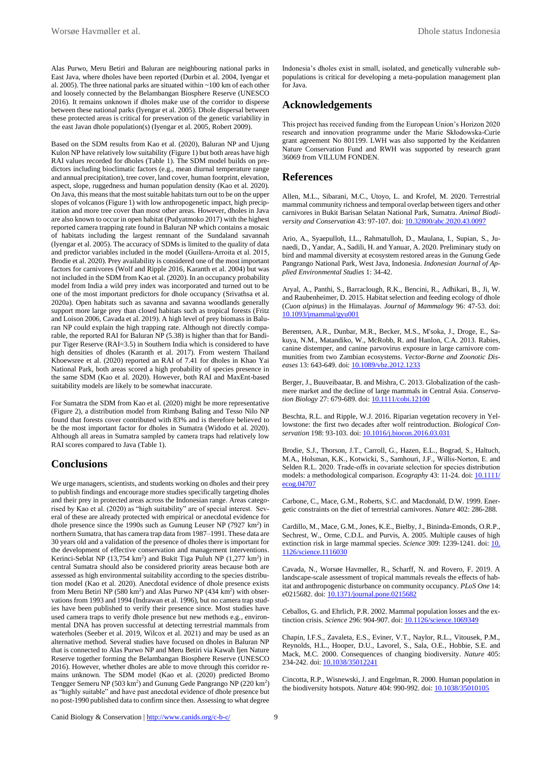Alas Purwo, Meru Betiri and Baluran are neighbouring national parks in East Java, where dholes have been reported (Durbin et al. 2004, Iyengar et al. 2005). The three national parks are situated within ~100 km of each other and loosely connected by the Belambangan Biosphere Reserve (UNESCO 2016). It remains unknown if dholes make use of the corridor to disperse between these national parks (Iyengar et al. 2005). Dhole dispersal between these protected areas is critical for preservation of the genetic variability in the east Javan dhole population(s) (Iyengar et al. 2005, Robert 2009).

Based on the SDM results from Kao et al. (2020), Baluran NP and Ujung Kulon NP have relatively low suitability (Figure 1) but both areas have high RAI values recorded for dholes (Table 1). The SDM model builds on predictors including bioclimatic factors (e.g., mean diurnal temperature range and annual precipitation), tree cover, land cover, human footprint, elevation, aspect, slope, ruggedness and human population density (Kao et al. 2020). On Java, this means that the most suitable habitats turn out to be on the upper slopes of volcanos (Figure 1) with low anthropogenetic impact, high precipitation and more tree cover than most other areas. However, dholes in Java are also known to occur in open habitat (Pudyatmoko 2017) with the highest reported camera trapping rate found in Baluran NP which contains a mosaic of habitats including the largest remnant of the Sundaland savannah (Iyengar et al. 2005). The accuracy of SDMs is limited to the quality of data and predictor variables included in the model (Guillera‐Arroita et al. 2015, Brodie et al. 2020). Prey availability is considered one of the most important factors for carnivores (Wolf and Ripple 2016, Karanth et al. 2004) but was not included in the SDM from Kao et al. (2020). In an occupancy probability model from India a wild prey index was incorporated and turned out to be one of the most important predictors for dhole occupancy (Srivathsa et al. 2020a). Open habitats such as savanna and savanna woodlands generally support more large prey than closed habitats such as tropical forests (Fritz and Loison 2006, Cavada et al. 2019). A high level of prey biomass in Baluran NP could explain the high trapping rate. Although not directly comparable, the reported RAI for Baluran NP (5.38) is higher than that for Bandipur Tiger Reserve (RAI=3.5) in Southern India which is considered to have high densities of dholes (Karanth et al. 2017). From western Thailand Khoewsree et al. (2020) reported an RAI of 7.41 for dholes in Khao Yai National Park, both areas scored a high probability of species presence in the same SDM (Kao et al. 2020). However, both RAI and MaxEnt-based suitability models are likely to be somewhat inaccurate.

For Sumatra the SDM from Kao et al. (2020) might be more representative (Figure 2), a distribution model from Rimbang Baling and Tesso Nilo NP found that forests cover contributed with 83% and is therefore believed to be the most important factor for dholes in Sumatra (Widodo et al. 2020). Although all areas in Sumatra sampled by camera traps had relatively low RAI scores compared to Java (Table 1).

### **Conclusions**

We urge managers, scientists, and students working on dholes and their prey to publish findings and encourage more studies specifically targeting dholes and their prey in protected areas across the Indonesian range. Areas categorised by Kao et al. (2020) as "high suitability" are of special interest. Several of these are already protected with empirical or anecdotal evidence for dhole presence since the 1990s such as Gunung Leuser NP  $(7927 \text{ km}^2)$  in northern Sumatra, that has camera trap data from 1987–1991. These data are 30 years old and a validation of the presence of dholes there is important for the development of effective conservation and management interventions. Kerinci-Seblat NP  $(13,754 \text{ km}^2)$  and Bukit Tiga Puluh NP  $(1,277 \text{ km}^2)$  in central Sumatra should also be considered priority areas because both are assessed as high environmental suitability according to the species distribution model (Kao et al. 2020). Anecdotal evidence of dhole presence exists from Meru Betiri NP  $(580 \text{ km}^2)$  and Alas Purwo NP  $(434 \text{ km}^2)$  with observations from 1993 and 1994 (Indrawan et al. 1996), but no camera trap studies have been published to verify their presence since. Most studies have used camera traps to verify dhole presence but new methods e.g., environmental DNA has proven successful at detecting terrestrial mammals from waterholes (Seeber et al. 2019, Wilcox et al. 2021) and may be used as an alternative method. Several studies have focused on dholes in Baluran NP that is connected to Alas Purwo NP and Meru Betiri via Kawah Ijen Nature Reserve together forming the Belambangan Biosphere Reserve (UNESCO 2016). However, whether dholes are able to move through this corridor remains unknown. The SDM model (Kao et al. (2020) predicted Bromo Tengger Semeru NP (503 km<sup>2</sup>) and Gunung Gede Pangrango NP (220 km<sup>2</sup>) as "highly suitable" and have past anecdotal evidence of dhole presence but no post-1990 published data to confirm since then. Assessing to what degree

Indonesia's dholes exist in small, isolated, and genetically vulnerable subpopulations is critical for developing a meta-population management plan for Java.

### **Acknowledgements**

This project has received funding from the European Union's Horizon 2020 research and innovation programme under the Marie Skłodowska-Curie grant agreement No 801199. LWH was also supported by the Keidanren Nature Conservation Fund and RWH was supported by research grant 36069 from VILLUM FONDEN.

### **References**

Allen, M.L., Sibarani, M.C., Utoyo, L. and Krofel, M. 2020. Terrestrial mammal community richness and temporal overlap between tigers and other carnivores in Bukit Barisan Selatan National Park, Sumatra. *Animal Biodiversity and Conservation* 43: 97-107. doi[: 10.32800/abc.2020.43.0097](https://doi.org/10.32800/abc.2020.43.0097)

Ario, A., Syaepulloh, I.L., Rahmatulloh, D., Maulana, I., Supian, S., Junaedi, D., Yandar, A., Sadili, H. and Yanuar, A. 2020. Preliminary study on bird and mammal diversity at ecosystem restored areas in the Gunung Gede Pangrango National Park, West Java, Indonesia. *Indonesian Journal of Applied Environmental Studies* 1: 34-42.

Aryal, A., Panthi, S., Barraclough, R.K., Bencini, R., Adhikari, B., Ji, W. and Raubenheimer, D. 2015. Habitat selection and feeding ecology of dhole (*Cuon alpinus*) in the Himalayas. *Journal of Mammalogy* 96: 47-53. doi: [10.1093/jmammal/gyu001](https://doi.org/10.1093/jmammal/gyu001)

Berentsen, A.R., Dunbar, M.R., Becker, M.S., M'soka, J., Droge, E., Sakuya, N.M., Matandiko, W., McRobb, R. and Hanlon, C.A. 2013. Rabies, canine distemper, and canine parvovirus exposure in large carnivore communities from two Zambian ecosystems. *Vector-Borne and Zoonotic Diseases* 13: 643-649. doi[: 10.1089/vbz.2012.1233](https://doi.org/10.1089/vbz.2012.1233)

Berger, J., Buuveibaatar, B. and Mishra, C. 2013. Globalization of the cashmere market and the decline of large mammals in Central Asia. *Conservation Biology* 27: 679-689. doi[: 10.1111/cobi.12100](https://doi.org/10.1111/cobi.12100)

Beschta, R.L. and Ripple, W.J. 2016. Riparian vegetation recovery in Yellowstone: the first two decades after wolf reintroduction. *Biological Conservation* 198: 93-103. doi[: 10.1016/j.biocon.2016.03.031](https://doi.org/10.1016/j.biocon.2016.03.031)

Brodie, S.J., Thorson, J.T., Carroll, G., Hazen, E.L., Bograd, S., Haltuch, M.A., Holsman, K.K., Kotwicki, S., Samhouri, J.F., Willis‐Norton, E. and Selden R.L. 2020. Trade‐offs in covariate selection for species distribution models: a methodological comparison. *Ecography* 43: 11-24. doi[: 10.1111/](https://doi.org/10.1111/ecog.04707) [ecog.04707](https://doi.org/10.1111/ecog.04707)

Carbone, C., Mace, G.M., Roberts, S.C. and Macdonald, D.W. 1999. Energetic constraints on the diet of terrestrial carnivores. *Nature* 402: 286-288.

Cardillo, M., Mace, G.M., Jones, K.E., Bielby, J., Bininda-Emonds, O.R.P., Sechrest, W., Orme, C.D.L. and Purvis, A. 2005. Multiple causes of high extinction risk in large mammal species. *Science* 309: 1239-1241. doi[: 10.](https://doi.org/10.1126/science.1116030) [1126/science.1116030](https://doi.org/10.1126/science.1116030)

Cavada, N., Worsøe Havmøller, R., Scharff, N. and Rovero, F. 2019. A landscape-scale assessment of tropical mammals reveals the effects of habitat and anthropogenic disturbance on community occupancy. *PLoS One* 14: e0215682. doi: [10.1371/journal.pone.0215682](https://doi.org/10.1371/journal.pone.0215682)

Ceballos, G. and Ehrlich, P.R. 2002. Mammal population losses and the extinction crisis. *Science* 296: 904-907. doi: [10.1126/science.1069349](https://doi.org/10.1126/science.1069349)

Chapin, I.F.S., Zavaleta, E.S., Eviner, V.T., Naylor, R.L., Vitousek, P.M., Reynolds, H.L., Hooper, D.U., Lavorel, S., Sala, O.E., Hobbie, S.E. and Mack, M.C. 2000. Consequences of changing biodiversity. *Nature* 405: 234-242. doi: [10.1038/35012241](https://doi.org/10.1038/35012241)

Cincotta, R.P., Wisnewski, J. and Engelman, R. 2000. Human population in the biodiversity hotspots. *Nature* 404: 990-992. doi: **10.1038/35010105**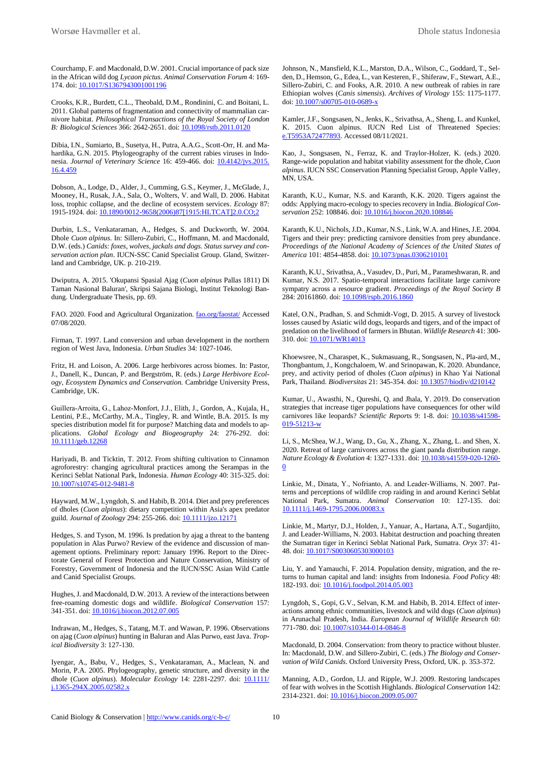Courchamp, F. and Macdonald, D.W. 2001. Crucial importance of pack size in the African wild dog *Lycaon pictus. Animal Conservation Forum* 4: 169- 174. doi[: 10.1017/S1367943001001196](https://doi.org/10.1017/S1367943001001196)

Crooks, K.R., Burdett, C.L., Theobald, D.M., Rondinini, C. and Boitani, L. 2011. Global patterns of fragmentation and connectivity of mammalian carnivore habitat. *Philosophical Transactions of the Royal Society of London B: Biological Sciences* 366: 2642-2651. doi[: 10.1098/rstb.2011.0120](https://doi.org/10.1098/rstb.2011.0120)

Dibia, I.N., Sumiarto, B., Susetya, H., Putra, A.A.G., Scott-Orr, H. and Mahardika, G.N. 2015. Phylogeography of the current rabies viruses in Indonesia. *Journal of Veterinary Science* 16: 459-466. doi: **10.4142/jvs.2015.** [16.4.459](https://doi.org/10.4142/jvs.2015.16.4.459)

Dobson, A., Lodge, D., Alder, J., Cumming, G.S., Keymer, J., McGlade, J., Mooney, H., Rusak, J.A., Sala, O., Wolters, V. and Wall, D. 2006. Habitat loss, trophic collapse, and the decline of ecosystem services. *Ecology* 87: 1915-1924. doi: [10.1890/0012-9658\(2006\)87\[1915:HLTCAT\]2.0.CO;2](https://doi.org/10.1890/0012-9658(2006)87%5b1915:HLTCAT%5d2.0.CO;2)

Durbin, L.S., Venkataraman, A., Hedges, S. and Duckworth, W. 2004. Dhole *Cuon alpinus.* In: Sillero-Zubiri, C., Hoffmann, M. and Macdonald, D.W. (eds.) *Canids: foxes, wolves, jackals and dogs. Status survey and conservation action plan*. IUCN-SSC Canid Specialist Group. Gland, Switzerland and Cambridge, UK. p. 210-219.

Dwiputra, A. 2015. 'Okupansi Spasial Ajag (*Cuon alpinus* Pallas 1811) Di Taman Nasional Baluran', Skripsi Sajana Biologi, Institut Teknologi Bandung. Undergraduate Thesis, pp. 69.

FAO. 2020. Food and Agricultural Organization[. fao.org/faostat/](http://www.fao.org/faostat/) Accessed 07/08/2020.

Firman, T. 1997. Land conversion and urban development in the northern region of West Java, Indonesia. *Urban Studies* 34: 1027-1046.

Fritz, H. and Loison, A. 2006. Large herbivores across biomes. In: Pastor, J., Danell, K., Duncan, P. and Bergström, R. (eds.) *Large Herbivore Ecology, Ecosystem Dynamics and Conservation.* Cambridge University Press, Cambridge, UK.

Guillera‐Arroita, G., Lahoz‐Monfort, J.J., Elith, J., Gordon, A., Kujala, H., Lentini, P.E., McCarthy, M.A., Tingley, R. and Wintle, B.A. 2015. Is my species distribution model fit for purpose? Matching data and models to applications. *Global Ecology and Biogeography* 24: 276-292. doi: [10.1111/geb.12268](https://doi.org/10.1111/geb.12268)

Hariyadi, B. and Ticktin, T. 2012. From shifting cultivation to Cinnamon agroforestry: changing agricultural practices among the Serampas in the Kerinci Seblat National Park, Indonesia. *Human Ecology* 40: 315-325. doi: [10.1007/s10745-012-9481-8](https://doi.org/10.1007/s10745-012-9481-8)

Hayward, M.W., Lyngdoh, S. and Habib, B. 2014. Diet and prey preferences of dholes (*Cuon alpinus*): dietary competition within Asia's apex predator guild. *Journal of Zoology* 294: 255-266. doi: [10.1111/jzo.12171](https://doi.org/10.1111/jzo.12171)

Hedges, S. and Tyson, M. 1996. Is predation by ajag a threat to the banteng population in Alas Purwo? Review of the evidence and discussion of management options. Preliminary report: January 1996. Report to the Directorate General of Forest Protection and Nature Conservation, Ministry of Forestry, Government of Indonesia and the IUCN/SSC Asian Wild Cattle and Canid Specialist Groups.

Hughes, J. and Macdonald, D.W. 2013. A review of the interactions between free-roaming domestic dogs and wildlife. *Biological Conservation* 157: 341-351. doi: [10.1016/j.biocon.2012.07.005](https://doi.org/10.1016/j.biocon.2012.07.005)

Indrawan, M., Hedges, S., Tatang, M.T. and Wawan, P. 1996. Observations on ajag (*Cuon alpinus*) hunting in Baluran and Alas Purwo, east Java. *Tropical Biodiversity* 3: 127-130.

Iyengar, A., Babu, V., Hedges, S., Venkataraman, A., Maclean, N. and Morin, P.A. 2005. Phylogeography, genetic structure, and diversity in the dhole (*Cuon alpinus*). *Molecular Ecology* 14: 2281-2297. doi: **10.1111/** [j.1365-294X.2005.02582.x](https://doi.org/10.1111/j.1365-294X.2005.02582.x)

Johnson, N., Mansfield, K.L., Marston, D.A., Wilson, C., Goddard, T., Selden, D., Hemson, G., Edea, L., van Kesteren, F., Shiferaw, F., Stewart, A.E., Sillero-Zubiri, C. and Fooks, A.R. 2010. A new outbreak of rabies in rare Ethiopian wolves (*Canis simensis*). *Archives of Virology* 155: 1175-1177. doi[: 10.1007/s00705-010-0689-x](https://doi.org/10.1007/s00705-010-0689-x)

Kamler, J.F., Songsasen, N., Jenks, K., Srivathsa, A., Sheng, L. and Kunkel, K. 2015. Cuon alpinus. IUCN Red List of Threatened Species: 5953A72477893. Accessed 08/11/2021.

Kao, J., Songsasen, N., Ferraz, K. and Traylor-Holzer, K. (eds.) 2020. Range-wide population and habitat viability assessment for the dhole, *Cuon alpinus*. IUCN SSC Conservation Planning Specialist Group, Apple Valley, MN, USA.

Karanth, K.U., Kumar, N.S. and Karanth, K.K. 2020. Tigers against the odds: Applying macro-ecology to species recovery in India. *Biological Conservation* 252: 108846. doi[: 10.1016/j.biocon.2020.108846](https://doi.org/10.1016/j.biocon.2020.108846)

Karanth, K.U., Nichols, J.D., Kumar, N.S., Link, W.A. and Hines, J.E. 2004. Tigers and their prey: predicting carnivore densities from prey abundance. *Proceedings of the National Academy of Sciences of the United States of America* 101: 4854-4858. doi[: 10.1073/pnas.0306210101](https://doi.org/10.1073/pnas.0306210101)

Karanth, K.U., Srivathsa, A., Vasudev, D., Puri, M., Parameshwaran, R. and Kumar, N.S. 2017. Spatio-temporal interactions facilitate large carnivore sympatry across a resource gradient. *Proceedings of the Royal Society B* 284: 20161860. doi[: 10.1098/rspb.2016.1860](https://doi.org/10.1098/rspb.2016.1860)

Katel, O.N., Pradhan, S. and Schmidt-Vogt, D. 2015. A survey of livestock losses caused by Asiatic wild dogs, leopards and tigers, and of the impact of predation on the livelihood of farmers in Bhutan. *Wildlife Research* 41: 300- 310. doi[: 10.1071/WR14013](https://doi.org/10.1071/WR14013)

Khoewsree, N., Charaspet, K., Sukmasuang, R., Songsasen, N., Pla-ard, M., Thongbantum, J., Kongchaloem, W. and Srinopawan, K. 2020. Abundance, prey, and activity period of dholes (*Cuon alpinus*) in Khao Yai National Park, Thailand. *Biodiversitas* 21: 345-354. doi[: 10.13057/biodiv/d210142](https://doi.org/10.13057/biodiv/d210142)

Kumar, U., Awasthi, N., Qureshi, Q. and Jhala, Y. 2019. Do conservation strategies that increase tiger populations have consequences for other wild carnivores like leopards? *Scientific Repor*ts 9: 1-8. doi: [10.1038/s41598-](https://doi.org/10.1038/s41598-019-51213-w) [019-51213-w](https://doi.org/10.1038/s41598-019-51213-w)

Li, S., McShea, W.J., Wang, D., Gu, X., Zhang, X., Zhang, L. and Shen, X. 2020. Retreat of large carnivores across the giant panda distribution range. *Nature Ecology & Evolution* 4: 1327-1331. doi[: 10.1038/s41559-020-1260-](https://doi.org/10.1038/s41559-020-1260-0)  $\overline{0}$  $\overline{0}$  $\overline{0}$ 

Linkie, M., Dinata, Y., Nofrianto, A. and Leader‐Williams, N. 2007. Patterns and perceptions of wildlife crop raiding in and around Kerinci Seblat National Park, Sumatra. *Animal Conservation* 10: 127-135. doi: [10.1111/j.1469-1795.2006.00083.x](https://doi.org/10.1111/j.1469-1795.2006.00083.x)

Linkie, M., Martyr, D.J., Holden, J., Yanuar, A., Hartana, A.T., Sugardjito, J. and Leader-Williams, N. 2003. Habitat destruction and poaching threaten the Sumatran tiger in Kerinci Seblat National Park, Sumatra. *Oryx* 37: 41- 48. doi[: 10.1017/S0030605303000103](https://doi.org/10.1017/S0030605303000103)

Liu, Y. and Yamauchi, F. 2014. Population density, migration, and the returns to human capital and land: insights from Indonesia. *Food Policy* 48: 182-193. doi: [10.1016/j.foodpol.2014.05.003](https://doi.org/10.1016/j.foodpol.2014.05.003)

Lyngdoh, S., Gopi, G.V., Selvan, K.M. and Habib, B. 2014. Effect of interactions among ethnic communities, livestock and wild dogs (*Cuon alpinus*) in Arunachal Pradesh, India. *European Journal of Wildlife Research* 60: 771-780. doi: [10.1007/s10344-014-0846-8](https://doi.org/10.1007/s10344-014-0846-8)

Macdonald, D. 2004. Conservation: from theory to practice without bluster. In: Macdonald, D.W. and Sillero-Zubiri, C. (eds.) *The Biology and Conservation of Wild Canids*. Oxford University Press, Oxford, UK. p. 353-372.

Manning, A.D., Gordon, I.J. and Ripple, W.J. 2009. Restoring landscapes of fear with wolves in the Scottish Highlands. *Biological Conservation* 142: 2314-2321. doi[: 10.1016/j.biocon.2009.05.007](https://doi.org/10.1016/j.biocon.2009.05.007)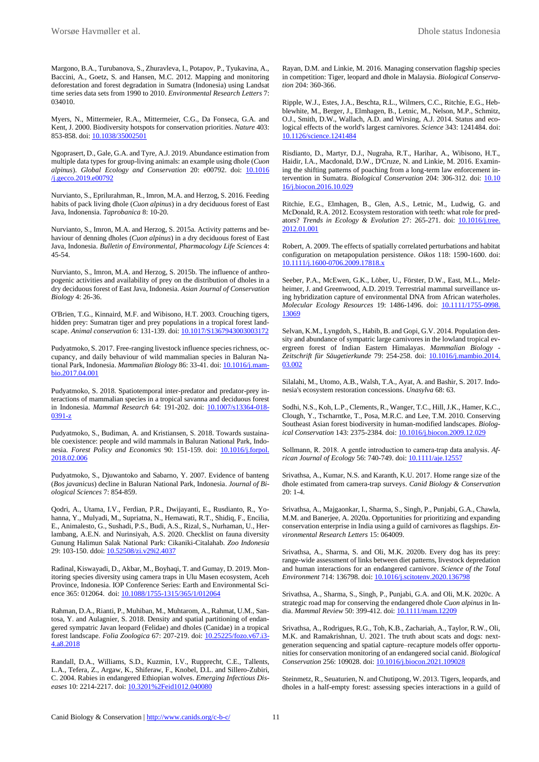Margono, B.A., Turubanova, S., Zhuravleva, I., Potapov, P., Tyukavina, A., Baccini, A., Goetz, S. and Hansen, M.C. 2012. Mapping and monitoring deforestation and forest degradation in Sumatra (Indonesia) using Landsat time series data sets from 1990 to 2010. *Environmental Research Letters* 7: 034010.

Myers, N., Mittermeier, R.A., Mittermeier, C.G., Da Fonseca, G.A. and Kent, J. 2000. Biodiversity hotspots for conservation priorities. *Nature* 403: 853-858. doi: [10.1038/35002501](https://doi.org/10.1038/35002501)

Ngoprasert, D., Gale, G.A. and Tyre, A.J. 2019. Abundance estimation from multiple data types for group-living animals: an example using dhole (*Cuon alpinus*). *Global Ecology and Conservation* 20: e00792. doi: [10.1016](https://doi.org/10.1016/j.gecco.2019.e00792) [/j.gecco.2019.e00792](https://doi.org/10.1016/j.gecco.2019.e00792)

Nurvianto, S., Eprilurahman, R., Imron, M.A. and Herzog, S. 2016. Feeding habits of pack living dhole (*Cuon alpinus*) in a dry deciduous forest of East Java, Indonensia. *Taprobanica* 8: 10-20.

Nurvianto, S., Imron, M.A. and Herzog, S. 2015a. Activity patterns and behaviour of denning dholes (*Cuon alpinus*) in a dry deciduous forest of East Java, Indonesia. *Bulletin of Environmental, Pharmacology Life Sciences* 4: 45-54.

Nurvianto, S., Imron, M.A. and Herzog, S. 2015b. The influence of anthropogenic activities and availability of prey on the distribution of dholes in a dry deciduous forest of East Java, Indonesia. *Asian Journal of Conservation Biology* 4: 26-36.

O'Brien, T.G., Kinnaird, M.F. and Wibisono, H.T. 2003. Crouching tigers, hidden prey: Sumatran tiger and prey populations in a tropical forest landscape. *Animal conservation* 6: 131-139. doi[: 10.1017/S1367943003003172](https://doi.org/10.1017/S1367943003003172)

Pudyatmoko, S. 2017. Free-ranging livestock influence species richness, occupancy, and daily behaviour of wild mammalian species in Baluran National Park, Indonesia. *Mammalian Biology* 86: 33-41. doi[: 10.1016/j.mam](https://doi.org/10.1016/j.mambio.2017.04.001)[bio.2017.04.001](https://doi.org/10.1016/j.mambio.2017.04.001)

Pudyatmoko, S. 2018. Spatiotemporal inter-predator and predator-prey interactions of mammalian species in a tropical savanna and deciduous forest in Indonesia. *Mammal Research* 64: 191-202. doi: [10.1007/s13364-018-](https://doi.org/10.1007/s13364-018-0391-z) [0391-z](https://doi.org/10.1007/s13364-018-0391-z)

Pudyatmoko, S., Budiman, A. and Kristiansen, S. 2018. Towards sustainable coexistence: people and wild mammals in Baluran National Park, Indonesia. *Forest Policy and Economics* 90: 151-159. doi: [10.1016/j.forpol.](https://doi.org/10.1016/j.forpol.2018.02.006) [2018.02.006](https://doi.org/10.1016/j.forpol.2018.02.006)

Pudyatmoko, S., Djuwantoko and Sabarno, Y. 2007. Evidence of banteng (*Bos javanicus*) decline in Baluran National Park, Indonesia. *Journal of Biological Sciences* 7: 854-859.

Qodri, A., Utama, I.V., Ferdian, P.R., Dwijayanti, E., Rusdianto, R., Yohanna, Y., Mulyadi, M., Supriatna, N., Hernawati, R.T., Shidiq, F., Encilia, E., Animalesto, G., Sushadi, P.S., Budi, A.S., Rizal, S., Nurhaman, U., Herlambang, A.E.N. and Nurinsiyah, A.S. 2020. Checklist on fauna diversity Gunung Halimun Salak National Park: Cikaniki-Citalahab. *Zoo Indonesia* 29: 103-150. ddoi[: 10.52508/zi.v29i2.4037](https://doi.org/10.52508/zi.v29i2.4037)

Radinal, Kiswayadi, D., Akbar, M., Boyhaqi, T. and Gumay, D. 2019. Monitoring species diversity using camera traps in Ulu Masen ecosystem, Aceh Province, Indonesia. IOP Conference Series: Earth and Environmental Sci-ence 365: 012064. doi[: 10.1088/1755-1315/365/1/012064](https://doi.org/10.1088/1755-1315/365/1/012064)

Rahman, D.A., Rianti, P., Muhiban, M., Muhtarom, A., Rahmat, U.M., Santosa, Y. and Aulagnier, S. 2018. Density and spatial partitioning of endangered sympatric Javan leopard (Felidae) and dholes (Canidae) in a tropical forest landscape. *Folia Zoologica* 67: 207-219. doi: [10.25225/fozo.v67.i3-](https://doi.org/10.25225/fozo.v67.i3-4.a8.2018) [4.a8.2018](https://doi.org/10.25225/fozo.v67.i3-4.a8.2018)

Randall, D.A., Williams, S.D., Kuzmin, I.V., Rupprecht, C.E., Tallents, L.A., Tefera, Z., Argaw, K., Shiferaw, F., Knobel, D.L. and Sillero-Zubiri, C. 2004. Rabies in endangered Ethiopian wolves. *Emerging Infectious Diseases* 10: 2214-2217. doi[: 10.3201%2Feid1012.040080](https://dx.doi.org/10.3201%2Feid1012.040080)

Rayan, D.M. and Linkie, M. 2016. Managing conservation flagship species in competition: Tiger, leopard and dhole in Malaysia. *Biological Conservation* 204: 360-366.

Ripple, W.J., Estes, J.A., Beschta, R.L., Wilmers, C.C., Ritchie, E.G., Hebblewhite, M., Berger, J., Elmhagen, B., Letnic, M., Nelson, M.P., Schmitz, O.J., Smith, D.W., Wallach, A.D. and Wirsing, A.J. 2014. Status and ecological effects of the world's largest carnivores. *Science* 343: 1241484. doi: [10.1126/science.1241484](https://doi.org/10.1126/science.1241484)

Risdianto, D., Martyr, D.J., Nugraha, R.T., Harihar, A., Wibisono, H.T., Haidir, I.A., Macdonald, D.W., D'Cruze, N. and Linkie, M. 2016. Examining the shifting patterns of poaching from a long-term law enforcement intervention in Sumatra. *Biological Conservation* 204: 306-312. doi: [10.10](https://doi.org/10.1016/j.biocon.2016.10.029) [16/j.biocon.2016.10.029](https://doi.org/10.1016/j.biocon.2016.10.029)

Ritchie, E.G., Elmhagen, B., Glen, A.S., Letnic, M., Ludwig, G. and McDonald, R.A. 2012. Ecosystem restoration with teeth: what role for predators? *Trends in Ecology & Evolution* 27: 265-271. doi: [10.1016/j.tree.](https://doi.org/10.1016/j.tree.2012.01.001) [2012.01.001](https://doi.org/10.1016/j.tree.2012.01.001)

Robert, A. 2009. The effects of spatially correlated perturbations and habitat configuration on metapopulation persistence. *Oikos* 118: 1590-1600. doi: [10.1111/j.1600-0706.2009.17818.x](https://doi.org/10.1111/j.1600-0706.2009.17818.x)

Seeber, P.A., McEwen, G.K., Löber, U., Förster, D.W., East, M.L., Melzheimer, J. and Greenwood, A.D. 2019. Terrestrial mammal surveillance using hybridization capture of environmental DNA from African waterholes. *Molecular Ecology Resources* 19: 1486-1496. doi: [10.1111/1755-0998.](https://doi.org/10.1111/1755-0998.13069) [13069](https://doi.org/10.1111/1755-0998.13069)

Selvan, K.M., Lyngdoh, S., Habib, B. and Gopi, G.V. 2014. Population density and abundance of sympatric large carnivores in the lowland tropical evergreen forest of Indian Eastern Himalayas. *Mammalian Biology - Zeitschrift für Säugetierkunde* 79: 254-258. doi: [10.1016/j.mambio.2014.](https://doi.org/10.1016/j.mambio.2014.03.002) [03.002](https://doi.org/10.1016/j.mambio.2014.03.002)

Silalahi, M., Utomo, A.B., Walsh, T.A., Ayat, A. and Bashir, S. 2017. Indonesia's ecosystem restoration concessions. *Unasylva* 68: 63.

Sodhi, N.S., Koh, L.P., Clements, R., Wanger, T.C., Hill, J.K., Hamer, K.C., Clough, Y., Tscharntke, T., Posa, M.R.C. and Lee, T.M. 2010. Conserving Southeast Asian forest biodiversity in human-modified landscapes. *Biological Conservation* 143: 2375-2384. doi[: 10.1016/j.biocon.2009.12.029](https://doi.org/10.1016/j.biocon.2009.12.029)

Sollmann, R. 2018. A gentle introduction to camera‐trap data analysis. *African Journal of Ecology* 56: 740-749. doi: **10.1111/aje.12557** 

Srivathsa, A., Kumar, N.S. and Karanth, K.U. 2017. Home range size of the dhole estimated from camera-trap surveys. *Canid Biology & Conservation* 20: 1-4.

Srivathsa, A., Majgaonkar, I., Sharma, S., Singh, P., Punjabi, G.A., Chawla, M.M. and Banerjee, A. 2020a. Opportunities for prioritizing and expanding conservation enterprise in India using a guild of carnivores as flagships. *Environmental Research Letters* 15: 064009.

Srivathsa, A., Sharma, S. and Oli, M.K. 2020b. Every dog has its prey: range-wide assessment of links between diet patterns, livestock depredation and human interactions for an endangered carnivore. *Science of the Total Environment* 714: 136798. doi: [10.1016/j.scitotenv.2020.136798](https://doi.org/10.1016/j.scitotenv.2020.136798)

Srivathsa, A., Sharma, S., Singh, P., Punjabi, G.A. and Oli, M.K. 2020c. A strategic road map for conserving the endangered dhole *Cuon alpinus* in India. *Mammal Review* 50: 399-412. doi[: 10.1111/mam.12209](https://doi.org/10.1111/mam.12209)

Srivathsa, A., Rodrigues, R.G., Toh, K.B., Zachariah, A., Taylor, R.W., Oli, M.K. and Ramakrishnan, U. 2021. The truth about scats and dogs: nextgeneration sequencing and spatial capture–recapture models offer opportunities for conservation monitoring of an endangered social canid. *Biological Conservation* 256: 109028. doi[: 10.1016/j.biocon.2021.109028](https://doi.org/10.1016/j.biocon.2021.109028)

Steinmetz, R., Seuaturien, N. and Chutipong, W. 2013. Tigers, leopards, and dholes in a half-empty forest: assessing species interactions in a guild of